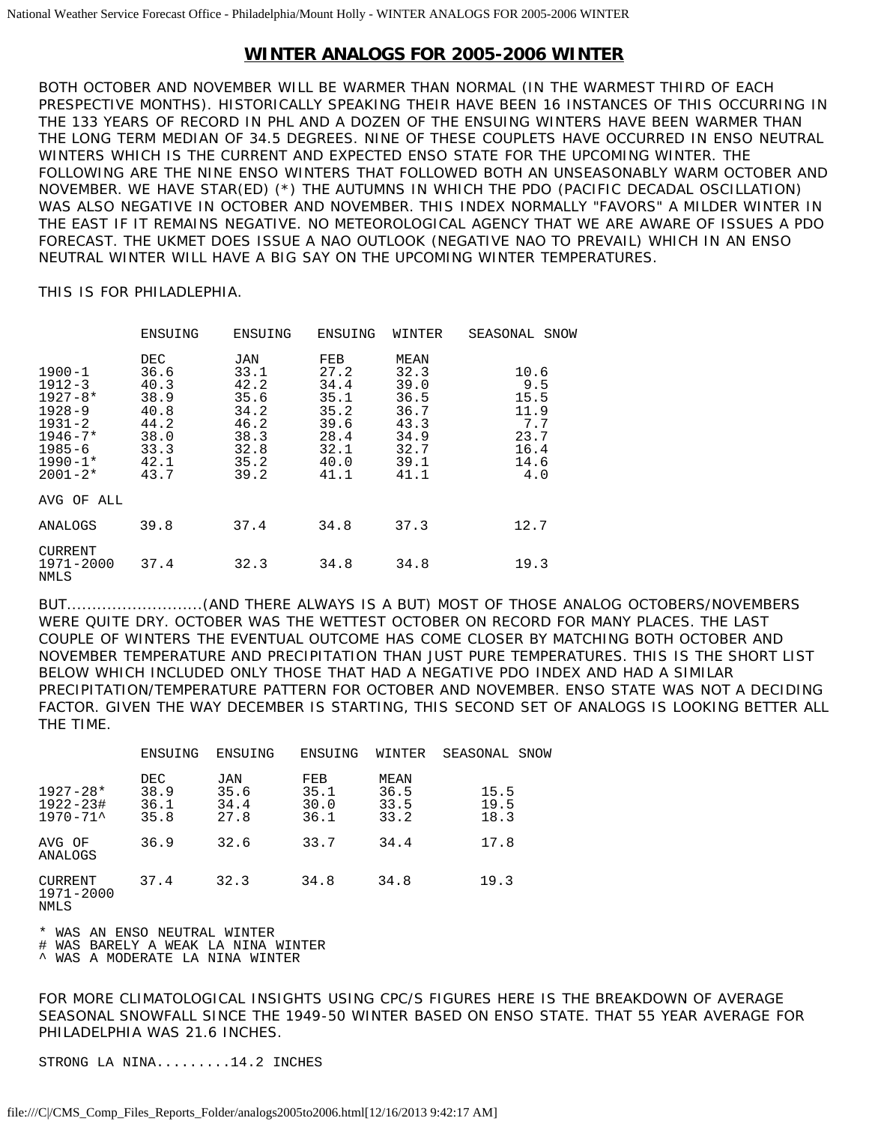## **WINTER ANALOGS FOR 2005-2006 WINTER**

BOTH OCTOBER AND NOVEMBER WILL BE WARMER THAN NORMAL (IN THE WARMEST THIRD OF EACH PRESPECTIVE MONTHS). HISTORICALLY SPEAKING THEIR HAVE BEEN 16 INSTANCES OF THIS OCCURRING IN THE 133 YEARS OF RECORD IN PHL AND A DOZEN OF THE ENSUING WINTERS HAVE BEEN WARMER THAN THE LONG TERM MEDIAN OF 34.5 DEGREES. NINE OF THESE COUPLETS HAVE OCCURRED IN ENSO NEUTRAL WINTERS WHICH IS THE CURRENT AND EXPECTED ENSO STATE FOR THE UPCOMING WINTER. THE FOLLOWING ARE THE NINE ENSO WINTERS THAT FOLLOWED BOTH AN UNSEASONABLY WARM OCTOBER AND NOVEMBER. WE HAVE STAR(ED) (\*) THE AUTUMNS IN WHICH THE PDO (PACIFIC DECADAL OSCILLATION) WAS ALSO NEGATIVE IN OCTOBER AND NOVEMBER. THIS INDEX NORMALLY "FAVORS" A MILDER WINTER IN THE EAST IF IT REMAINS NEGATIVE. NO METEOROLOGICAL AGENCY THAT WE ARE AWARE OF ISSUES A PDO FORECAST. THE UKMET DOES ISSUE A NAO OUTLOOK (NEGATIVE NAO TO PREVAIL) WHICH IN AN ENSO NEUTRAL WINTER WILL HAVE A BIG SAY ON THE UPCOMING WINTER TEMPERATURES.

THIS IS FOR PHILADLEPHIA.

|                                                                                                                                | ENSUING                                                                      | ENSUING                                                                     | ENSUING                                                                     | WINTER                                                                       | SEASONAL<br>SNOW                                                  |
|--------------------------------------------------------------------------------------------------------------------------------|------------------------------------------------------------------------------|-----------------------------------------------------------------------------|-----------------------------------------------------------------------------|------------------------------------------------------------------------------|-------------------------------------------------------------------|
| $1900 - 1$<br>$1912 - 3$<br>$1927 - 8*$<br>$1928 - 9$<br>$1931 - 2$<br>$1946 - 7*$<br>$1985 - 6$<br>$1990 - 1*$<br>$2001 - 2*$ | DEC.<br>36.6<br>40.3<br>38.9<br>40.8<br>44.2<br>38.0<br>33.3<br>42.1<br>43.7 | JAN<br>33.1<br>42.2<br>35.6<br>34.2<br>46.2<br>38.3<br>32.8<br>35.2<br>39.2 | FEB<br>27.2<br>34.4<br>35.1<br>35.2<br>39.6<br>28.4<br>32.1<br>40.0<br>41.1 | MEAN<br>32.3<br>39.0<br>36.5<br>36.7<br>43.3<br>34.9<br>32.7<br>39.1<br>41.1 | 10.6<br>9.5<br>15.5<br>11.9<br>7.7<br>23.7<br>16.4<br>14.6<br>4.0 |
| AVG OF ALL                                                                                                                     |                                                                              |                                                                             |                                                                             |                                                                              |                                                                   |
| ANALOGS                                                                                                                        | 39.8                                                                         | 37.4                                                                        | 34.8                                                                        | 37.3                                                                         | 12.7                                                              |
| CURRENT<br>1971-2000<br><b>NMLS</b>                                                                                            | 37.4                                                                         | 32.3                                                                        | 34.8                                                                        | 34.8                                                                         | 19.3                                                              |

BUT...........................(AND THERE ALWAYS IS A BUT) MOST OF THOSE ANALOG OCTOBERS/NOVEMBERS WERE QUITE DRY. OCTOBER WAS THE WETTEST OCTOBER ON RECORD FOR MANY PLACES. THE LAST COUPLE OF WINTERS THE EVENTUAL OUTCOME HAS COME CLOSER BY MATCHING BOTH OCTOBER AND NOVEMBER TEMPERATURE AND PRECIPITATION THAN JUST PURE TEMPERATURES. THIS IS THE SHORT LIST BELOW WHICH INCLUDED ONLY THOSE THAT HAD A NEGATIVE PDO INDEX AND HAD A SIMILAR PRECIPITATION/TEMPERATURE PATTERN FOR OCTOBER AND NOVEMBER. ENSO STATE WAS NOT A DECIDING FACTOR. GIVEN THE WAY DECEMBER IS STARTING, THIS SECOND SET OF ANALOGS IS LOOKING BETTER ALL THE TIME.

|                                      | ENSUING                     | ENSUING                            | ENSUING                     | WINTER                       | SEASONAL SNOW        |
|--------------------------------------|-----------------------------|------------------------------------|-----------------------------|------------------------------|----------------------|
| $1927 - 28*$<br>1922-23#<br>1970-71^ | DEC<br>38.9<br>36.1<br>35.8 | <b>JAN</b><br>35.6<br>34.4<br>27.8 | FEB<br>35.1<br>30.0<br>36.1 | MEAN<br>36.5<br>33.5<br>33.2 | 15.5<br>19.5<br>18.3 |
| AVG OF<br>ANALOGS                    | 36.9                        | 32.6                               | 33.7                        | 34.4                         | 17.8                 |
| CURRENT<br>1971-2000<br>NMLS         | 37.4                        | 32.3                               | 34.8                        | 34.8                         | 19.3                 |

\* WAS AN ENSO NEUTRAL WINTER

# WAS BARELY A WEAK LA NINA WINTER

^ WAS A MODERATE LA NINA WINTER

FOR MORE CLIMATOLOGICAL INSIGHTS USING CPC/S FIGURES HERE IS THE BREAKDOWN OF AVERAGE SEASONAL SNOWFALL SINCE THE 1949-50 WINTER BASED ON ENSO STATE. THAT 55 YEAR AVERAGE FOR PHILADELPHIA WAS 21.6 INCHES.

STRONG LA NINA.........14.2 INCHES